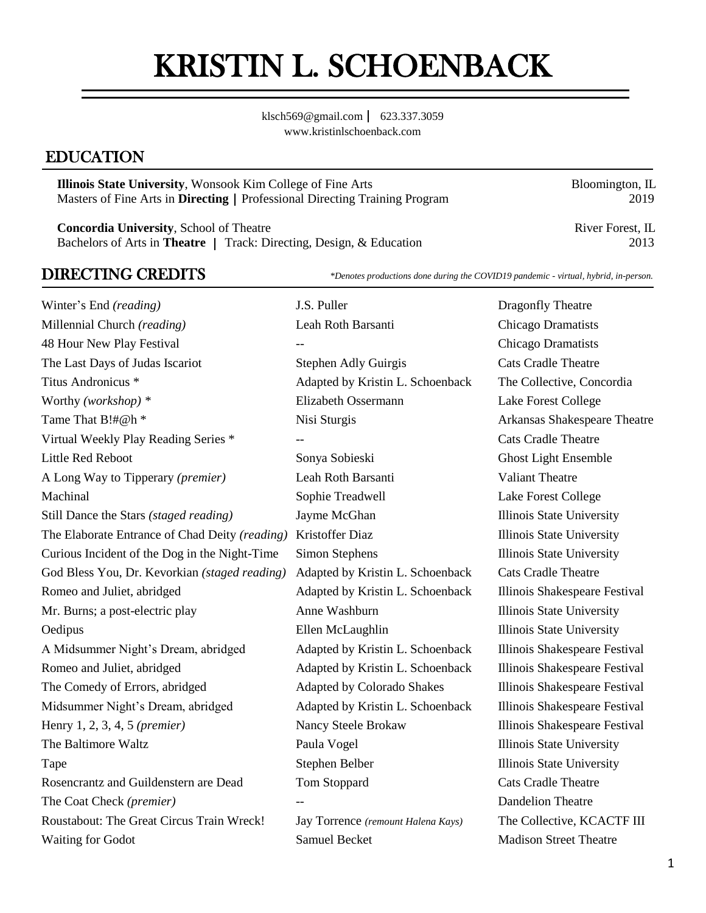# KRISTIN L. SCHOENBACK

[klsch569@gmail.com](mailto:klsch569@gmail.com) | 623.337.3059 [www.kristinlschoenback.com](http://www.kristinlschoenback.com/)

## EDUCATION

**Illinois State University**, Wonsook Kim College of Fine Arts Bloomington, IL Masters of Fine Arts in **Directing** | Professional Directing Training Program 2019

**Concordia University**, School of Theatre River Forest, IL River Forest, IL Bachelors of Arts in **Theatre** | Track: Directing, Design, & Education 2013

DIRECTING CREDITS *\*Denotes productions done during the COVID19 pandemic - virtual, hybrid, in-person.*

Winter's End *(reading)* **J.S. Puller Dragonfly Theatre Dragonfly Theatre** Millennial Church *(reading)* Leah Roth Barsanti Chicago Dramatists 48 Hour New Play Festival *--* Chicago Dramatists The Last Days of Judas Iscariot Stephen Adly Guirgis Cats Cradle Theatre Titus Andronicus \* Adapted by Kristin L. Schoenback The Collective, Concordia Worthy *(workshop) \** Elizabeth Ossermann Lake Forest College Tame That B!#@h \* Nisi Sturgis Nisi Sturgis Arkansas Shakespeare Theatre Virtual Weekly Play Reading Series \* The Series and Theatre and Cats Cradle Theatre Little Red Reboot Sonya Sobieski Ghost Light Ensemble A Long Way to Tipperary *(premier)* Leah Roth Barsanti Valiant Theatre Machinal Sophie Treadwell Lake Forest College Still Dance the Stars *(staged reading)* Jayme McGhan Illinois State University The Elaborate Entrance of Chad Deity *(reading)* Kristoffer Diaz Illinois State University Curious Incident of the Dog in the Night-Time Simon Stephens Illinois State University God Bless You, Dr. Kevorkian *(staged reading)* Adapted by Kristin L. Schoenback Cats Cradle Theatre Romeo and Juliet, abridged Adapted by Kristin L. Schoenback Illinois Shakespeare Festival Mr. Burns; a post-electric play Anne Washburn and Illinois State University Oedipus Ellen McLaughlin Illinois State University A Midsummer Night's Dream, abridged Adapted by Kristin L. Schoenback Illinois Shakespeare Festival Romeo and Juliet, abridged **Adapted by Kristin L. Schoenback** Illinois Shakespeare Festival The Comedy of Errors, abridged Adapted by Colorado Shakes Illinois Shakespeare Festival Midsummer Night's Dream, abridged Adapted by Kristin L. Schoenback Illinois Shakespeare Festival Henry 1, 2, 3, 4, 5 *(premier)* Nancy Steele Brokaw Illinois Shakespeare Festival The Baltimore Waltz **Paula Vogel** Paula Vogel Illinois State University Tape Stephen Belber Illinois State University Rosencrantz and Guildenstern are Dead Tom Stoppard Cats Cradle Theatre The Coat Check (*premier*) -- Dandelion Theatre Roustabout: The Great Circus Train Wreck! Jay Torrence *(remount Halena Kays)* The Collective, KCACTF III Waiting for Godot Samuel Becket Madison Street Theatre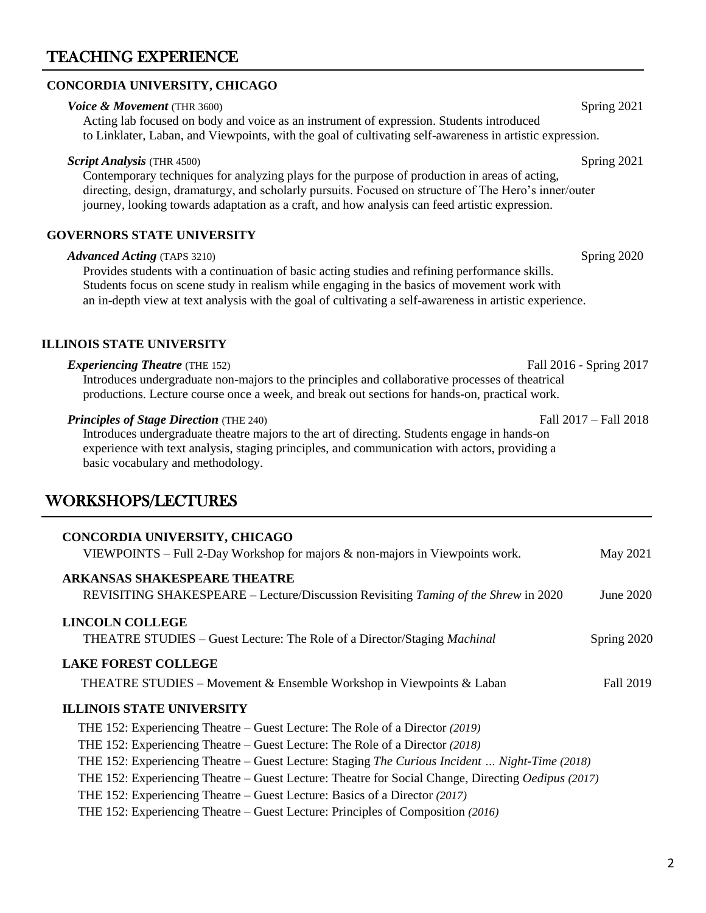## TEACHING EXPERIENCE

#### **CONCORDIA UNIVERSITY, CHICAGO**

#### **Voice & Movement** (THR 3600) **Spring 2021**

Acting lab focused on body and voice as an instrument of expression. Students introduced to Linklater, Laban, and Viewpoints, with the goal of cultivating self-awareness in artistic expression.

#### *Script Analysis* (THR 4500) Spring 2021

Contemporary techniques for analyzing plays for the purpose of production in areas of acting, directing, design, dramaturgy, and scholarly pursuits. Focused on structure of The Hero's inner/outer journey, looking towards adaptation as a craft, and how analysis can feed artistic expression.

#### **GOVERNORS STATE UNIVERSITY**

#### *Advanced Acting* (TAPS 3210)Spring 2020

Provides students with a continuation of basic acting studies and refining performance skills. Students focus on scene study in realism while engaging in the basics of movement work with an in-depth view at text analysis with the goal of cultivating a self-awareness in artistic experience.

#### **ILLINOIS STATE UNIVERSITY**

*Experiencing Theatre* (THE 152) Fall 2016 - Spring 2017 Introduces undergraduate non-majors to the principles and collaborative processes of theatrical productions. Lecture course once a week, and break out sections for hands-on, practical work.

#### *Principles of Stage Direction* (THE 240) Fall 2017 – Fall 2018

Introduces undergraduate theatre majors to the art of directing. Students engage in hands-on experience with text analysis, staging principles, and communication with actors, providing a basic vocabulary and methodology.

## WORKSHOPS/LECTURES

| CONCORDIA UNIVERSITY, CHICAGO<br>VIEWPOINTS – Full 2-Day Workshop for majors $\&$ non-majors in Viewpoints work.          | May 2021    |
|---------------------------------------------------------------------------------------------------------------------------|-------------|
| <b>ARKANSAS SHAKESPEARE THEATRE</b><br>REVISITING SHAKESPEARE – Lecture/Discussion Revisiting Taming of the Shrew in 2020 | June 2020   |
| LINCOLN COLLEGE<br>THEATRE STUDIES – Guest Lecture: The Role of a Director/Staging <i>Machinal</i>                        | Spring 2020 |
| <b>LAKE FOREST COLLEGE</b>                                                                                                |             |
| <b>THEATRE STUDIES</b> – Movement & Ensemble Workshop in Viewpoints & Laban<br><b>ILLINOIS STATE UNIVERSITY</b>           | Fall 2019   |
| THE 152: Experiencing Theatre – Guest Lecture: The Role of a Director (2019)                                              |             |
| THE 152: Experiencing Theatre – Guest Lecture: The Role of a Director (2018)                                              |             |
| THE 152: Experiencing Theatre – Guest Lecture: Staging The Curious Incident  Night-Time (2018)                            |             |
| THE 152: Experiencing Theatre – Guest Lecture: Theatre for Social Change, Directing <i>Oedipus</i> (2017)                 |             |
| THE 152: Experiencing Theatre – Guest Lecture: Basics of a Director (2017)                                                |             |
| THE 152: Experiencing Theatre – Guest Lecture: Principles of Composition (2016)                                           |             |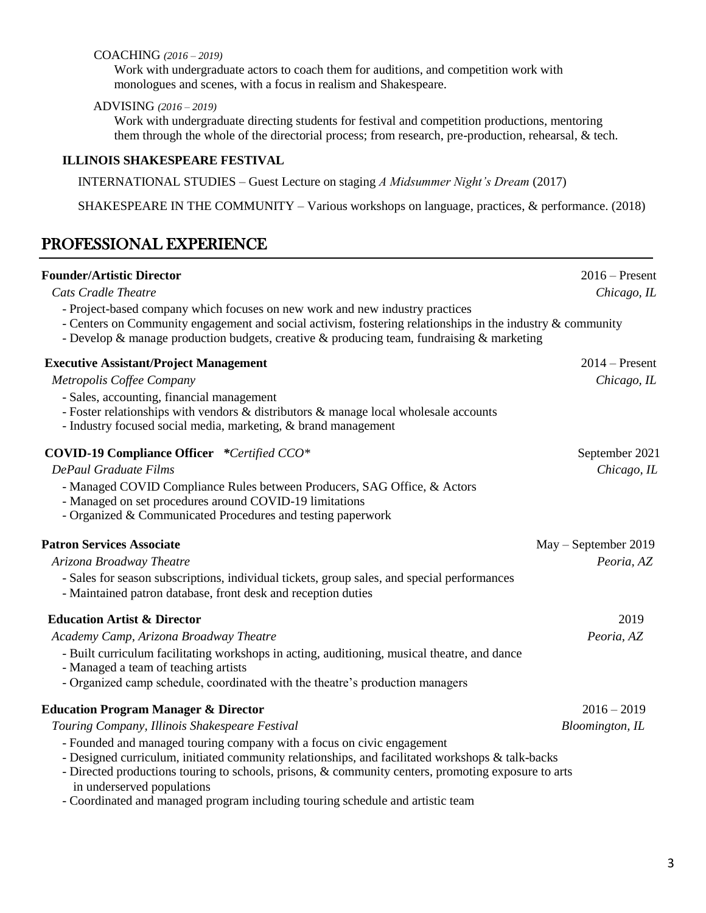#### COACHING *(2016 – 2019)*

Work with undergraduate actors to coach them for auditions, and competition work with monologues and scenes, with a focus in realism and Shakespeare.

#### ADVISING *(2016 – 2019)*

Work with undergraduate directing students for festival and competition productions, mentoring them through the whole of the directorial process; from research, pre-production, rehearsal, & tech.

#### **ILLINOIS SHAKESPEARE FESTIVAL**

INTERNATIONAL STUDIES – Guest Lecture on staging *A Midsummer Night's Dream* (2017)

SHAKESPEARE IN THE COMMUNITY – Various workshops on language, practices, & performance. (2018)

## PROFESSIONAL EXPERIENCE

| <b>Founder/Artistic Director</b>                                                                                                                                                                                                                                                        | $2016$ – Present       |
|-----------------------------------------------------------------------------------------------------------------------------------------------------------------------------------------------------------------------------------------------------------------------------------------|------------------------|
| <b>Cats Cradle Theatre</b>                                                                                                                                                                                                                                                              | Chicago, IL            |
| - Project-based company which focuses on new work and new industry practices<br>- Centers on Community engagement and social activism, fostering relationships in the industry & community<br>- Develop & manage production budgets, creative & producing team, fundraising & marketing |                        |
| <b>Executive Assistant/Project Management</b>                                                                                                                                                                                                                                           | $2014$ – Present       |
| Metropolis Coffee Company                                                                                                                                                                                                                                                               | Chicago, IL            |
| - Sales, accounting, financial management<br>- Foster relationships with vendors $\&$ distributors $\&$ manage local wholesale accounts<br>- Industry focused social media, marketing, & brand management                                                                               |                        |
| <b>COVID-19 Compliance Officer</b> *Certified CCO*                                                                                                                                                                                                                                      | September 2021         |
| <b>DePaul Graduate Films</b>                                                                                                                                                                                                                                                            | Chicago, IL            |
| - Managed COVID Compliance Rules between Producers, SAG Office, & Actors<br>- Managed on set procedures around COVID-19 limitations<br>- Organized & Communicated Procedures and testing paperwork                                                                                      |                        |
| <b>Patron Services Associate</b>                                                                                                                                                                                                                                                        | $May - September 2019$ |
| Arizona Broadway Theatre                                                                                                                                                                                                                                                                | Peoria, AZ             |
| - Sales for season subscriptions, individual tickets, group sales, and special performances<br>- Maintained patron database, front desk and reception duties                                                                                                                            |                        |
| <b>Education Artist &amp; Director</b>                                                                                                                                                                                                                                                  | 2019                   |
| Academy Camp, Arizona Broadway Theatre                                                                                                                                                                                                                                                  | Peoria, AZ             |
| - Built curriculum facilitating workshops in acting, auditioning, musical theatre, and dance<br>- Managed a team of teaching artists                                                                                                                                                    |                        |
| - Organized camp schedule, coordinated with the theatre's production managers                                                                                                                                                                                                           |                        |
| <b>Education Program Manager &amp; Director</b>                                                                                                                                                                                                                                         | $2016 - 2019$          |
| Touring Company, Illinois Shakespeare Festival                                                                                                                                                                                                                                          | Bloomington, IL        |
| - Founded and managed touring company with a focus on civic engagement<br>- Designed curriculum, initiated community relationships, and facilitated workshops & talk-backs<br>- Directed productions touring to schools, prisons, & community centers, promoting exposure to arts       |                        |
| in underserved populations                                                                                                                                                                                                                                                              |                        |
| - Coordinated and managed program including touring schedule and artistic team                                                                                                                                                                                                          |                        |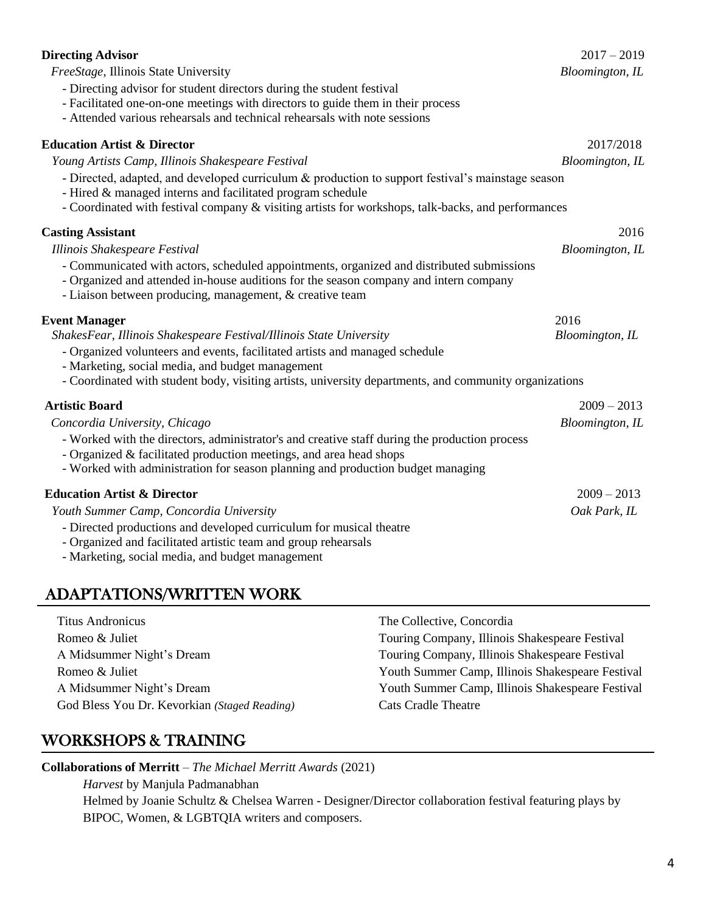| <b>Directing Advisor</b>                                                                                                                                                                                                                       | $2017 - 2019$           |
|------------------------------------------------------------------------------------------------------------------------------------------------------------------------------------------------------------------------------------------------|-------------------------|
| FreeStage, Illinois State University                                                                                                                                                                                                           | <b>Bloomington</b> , IL |
| - Directing advisor for student directors during the student festival                                                                                                                                                                          |                         |
| - Facilitated one-on-one meetings with directors to guide them in their process                                                                                                                                                                |                         |
| - Attended various rehearsals and technical rehearsals with note sessions                                                                                                                                                                      |                         |
| <b>Education Artist &amp; Director</b>                                                                                                                                                                                                         | 2017/2018               |
| Young Artists Camp, Illinois Shakespeare Festival                                                                                                                                                                                              | Bloomington, IL         |
| - Directed, adapted, and developed curriculum & production to support festival's mainstage season<br>- Hired & managed interns and facilitated program schedule                                                                                |                         |
| - Coordinated with festival company & visiting artists for workshops, talk-backs, and performances                                                                                                                                             |                         |
| <b>Casting Assistant</b>                                                                                                                                                                                                                       | 2016                    |
| Illinois Shakespeare Festival                                                                                                                                                                                                                  | Bloomington, IL         |
| - Communicated with actors, scheduled appointments, organized and distributed submissions<br>- Organized and attended in-house auditions for the season company and intern company<br>- Liaison between producing, management, & creative team |                         |
| <b>Event Manager</b>                                                                                                                                                                                                                           | 2016                    |
| ShakesFear, Illinois Shakespeare Festival/Illinois State University                                                                                                                                                                            | Bloomington, IL         |
| - Organized volunteers and events, facilitated artists and managed schedule<br>- Marketing, social media, and budget management                                                                                                                |                         |
| - Coordinated with student body, visiting artists, university departments, and community organizations                                                                                                                                         |                         |
| <b>Artistic Board</b>                                                                                                                                                                                                                          | $2009 - 2013$           |
| Concordia University, Chicago                                                                                                                                                                                                                  | Bloomington, IL         |
| - Worked with the directors, administrator's and creative staff during the production process                                                                                                                                                  |                         |
| - Organized & facilitated production meetings, and area head shops                                                                                                                                                                             |                         |
| - Worked with administration for season planning and production budget managing                                                                                                                                                                |                         |
| <b>Education Artist &amp; Director</b>                                                                                                                                                                                                         | $2009 - 2013$           |
| Youth Summer Camp, Concordia University                                                                                                                                                                                                        | Oak Park, IL            |
| - Directed productions and developed curriculum for musical theatre                                                                                                                                                                            |                         |
| - Organized and facilitated artistic team and group rehearsals                                                                                                                                                                                 |                         |
| - Marketing, social media, and budget management                                                                                                                                                                                               |                         |

## ADAPTATIONS/WRITTEN WORK

| <b>Titus Andronicus</b>                      | The Collective, Concordia                        |
|----------------------------------------------|--------------------------------------------------|
| Romeo & Juliet                               | Touring Company, Illinois Shakespeare Festival   |
| A Midsummer Night's Dream                    | Touring Company, Illinois Shakespeare Festival   |
| Romeo & Juliet                               | Youth Summer Camp, Illinois Shakespeare Festival |
| A Midsummer Night's Dream                    | Youth Summer Camp, Illinois Shakespeare Festival |
| God Bless You Dr. Kevorkian (Staged Reading) | <b>Cats Cradle Theatre</b>                       |

## WORKSHOPS & TRAINING

**Collaborations of Merritt** – *The Michael Merritt Awards* (2021)

*Harvest* by Manjula Padmanabhan Helmed by Joanie Schultz & Chelsea Warren - Designer/Director collaboration festival featuring plays by BIPOC, Women, & LGBTQIA writers and composers.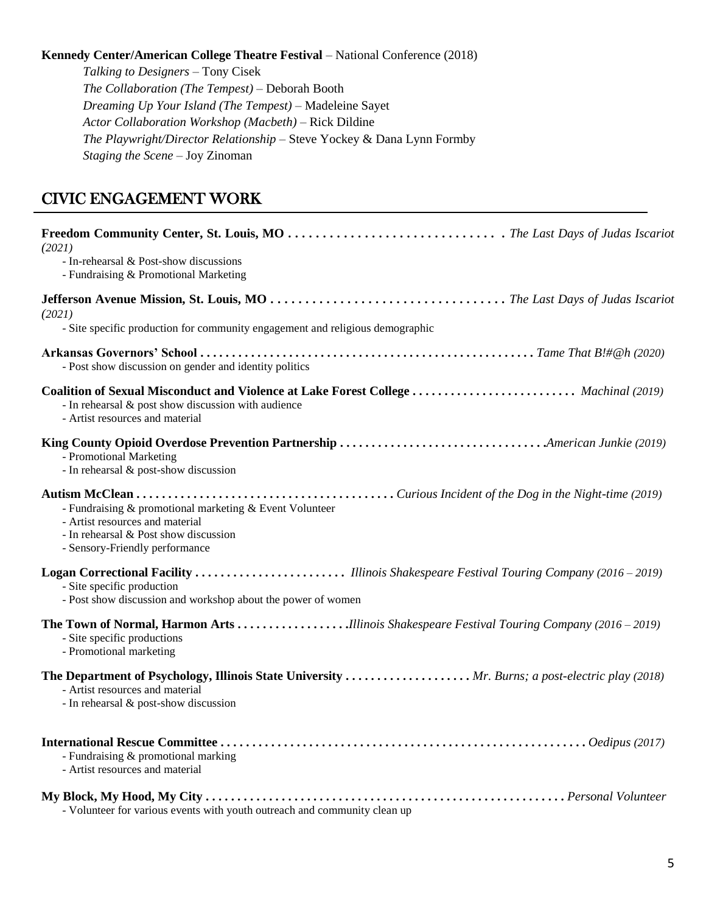#### **Kennedy Center/American College Theatre Festival** – National Conference (2018)

*Talking to Designers* – Tony Cisek *The Collaboration (The Tempest)* – Deborah Booth *Dreaming Up Your Island (The Tempest)* – Madeleine Sayet *Actor Collaboration Workshop (Macbeth)* – Rick Dildine *The Playwright/Director Relationship* – Steve Yockey & Dana Lynn Formby *Staging the Scene* – Joy Zinoman

## CIVIC ENGAGEMENT WORK

֡֡֡֡֡

| (2021)                                                                                                                                                                        |
|-------------------------------------------------------------------------------------------------------------------------------------------------------------------------------|
| - In-rehearsal & Post-show discussions<br>- Fundraising & Promotional Marketing                                                                                               |
| (2021)<br>- Site specific production for community engagement and religious demographic                                                                                       |
| - Post show discussion on gender and identity politics                                                                                                                        |
| Coalition of Sexual Misconduct and Violence at Lake Forest College  Machinal (2019)<br>- In rehearsal & post show discussion with audience<br>- Artist resources and material |
| - Promotional Marketing<br>- In rehearsal & post-show discussion                                                                                                              |
| - Fundraising & promotional marketing & Event Volunteer<br>- Artist resources and material<br>- In rehearsal & Post show discussion<br>- Sensory-Friendly performance         |
| - Site specific production<br>- Post show discussion and workshop about the power of women                                                                                    |
| - Site specific productions<br>- Promotional marketing                                                                                                                        |
| The Department of Psychology, Illinois State University  Mr. Burns; a post-electric play (2018)<br>- Artist resources and material<br>- In rehearsal & post-show discussion   |
| - Fundraising & promotional marking<br>- Artist resources and material                                                                                                        |
| - Volunteer for various events with youth outreach and community clean up                                                                                                     |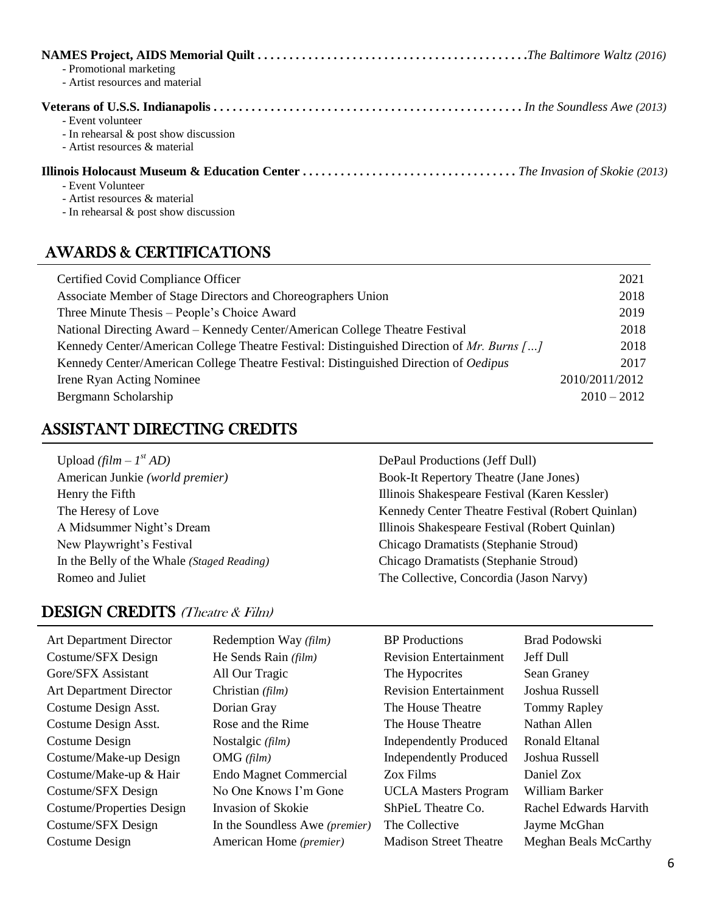| - Promotional marketing<br>- Artist resources and material                                     |
|------------------------------------------------------------------------------------------------|
| - Event volunteer<br>- In rehearsal $\&$ post show discussion<br>- Artist resources & material |
| - Event Volunteer<br>- Artist resources & material<br>- In rehearsal $\&$ post show discussion |

## AWARDS & CERTIFICATIONS

| Certified Covid Compliance Officer                                                        | 2021           |
|-------------------------------------------------------------------------------------------|----------------|
| Associate Member of Stage Directors and Choreographers Union                              | 2018           |
| Three Minute Thesis – People's Choice Award                                               | 2019           |
| National Directing Award - Kennedy Center/American College Theatre Festival               | 2018           |
| Kennedy Center/American College Theatre Festival: Distinguished Direction of Mr. Burns [] | 2018           |
| Kennedy Center/American College Theatre Festival: Distinguished Direction of Oedipus      | 2017           |
| Irene Ryan Acting Nominee                                                                 | 2010/2011/2012 |
| Bergmann Scholarship                                                                      | $2010 - 2012$  |

## ASSISTANT DIRECTING CREDITS

| Upload $\left(\frac{film - 1^{st} AD\right)}$ | DePaul Productions (Jeff Dull)                   |
|-----------------------------------------------|--------------------------------------------------|
| American Junkie (world premier)               | <b>Book-It Repertory Theatre (Jane Jones)</b>    |
| Henry the Fifth                               | Illinois Shakespeare Festival (Karen Kessler)    |
| The Heresy of Love                            | Kennedy Center Theatre Festival (Robert Quinlan) |
| A Midsummer Night's Dream                     | Illinois Shakespeare Festival (Robert Quinlan)   |
| New Playwright's Festival                     | Chicago Dramatists (Stephanie Stroud)            |
| In the Belly of the Whale (Staged Reading)    | Chicago Dramatists (Stephanie Stroud)            |
| Romeo and Juliet                              | The Collective, Concordia (Jason Narvy)          |

## DESIGN CREDITS (Theatre & Film)

Art Department Director Redemption Way *(film)* Costume/SFX Design He Sends Rain *(film)* Gore/SFX Assistant All Our Tragic Art Department Director Christian *(film)* Costume Design Asst. Dorian Gray Costume Design Asst. Rose and the Rime Costume Design Nostalgic *(film)* Costume/Make-up Design OMG *(film)* Costume/Make-up & Hair Endo Magnet Commercial Costume/SFX Design No One Knows I'm Gone Costume/Properties Design Invasion of Skokie Costume/SFX Design In the Soundless Awe (premier) Costume Design American Home *(premier)* 

|      | <b>BP</b> Productions         | Brad Podowski          |
|------|-------------------------------|------------------------|
|      | <b>Revision Entertainment</b> | Jeff Dull              |
|      | The Hypocrites                | Sean Graney            |
|      | <b>Revision Entertainment</b> | Joshua Russell         |
|      | The House Theatre             | <b>Tommy Rapley</b>    |
|      | The House Theatre             | Nathan Allen           |
|      | <b>Independently Produced</b> | Ronald Eltanal         |
|      | <b>Independently Produced</b> | Joshua Russell         |
|      | Zox Films                     | Daniel Zox             |
|      | <b>UCLA Masters Program</b>   | William Barker         |
|      | ShPieL Theatre Co.            | Rachel Edwards Harvith |
| ier) | The Collective                | Jayme McGhan           |
|      | <b>Madison Street Theatre</b> | Meghan Beals McCarthy  |
|      |                               |                        |